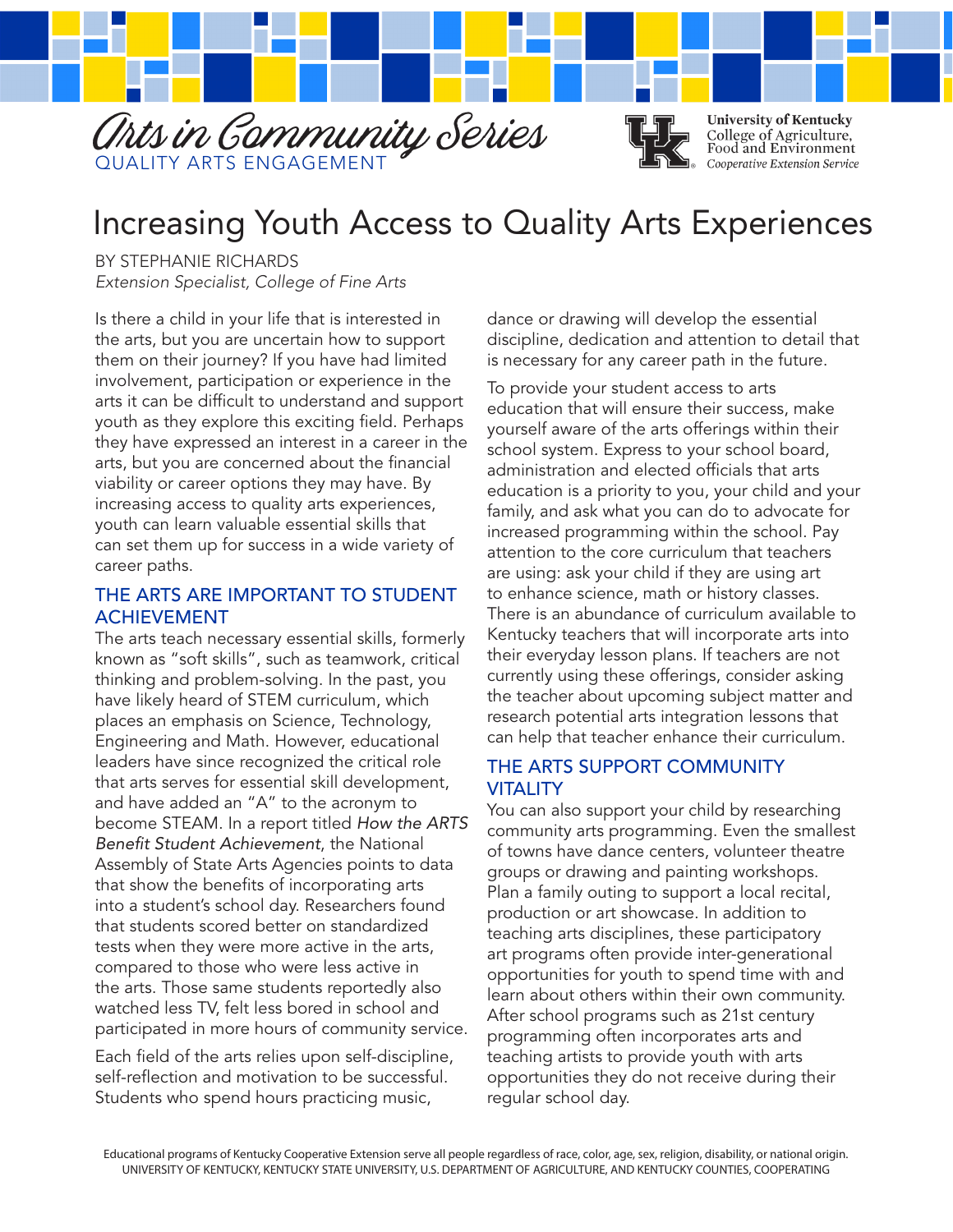

# Increasing Youth Access to Quality Arts Experiences

BY STEPHANIE RICHARDS *Extension Specialist, College of Fine Arts*

Is there a child in your life that is interested in the arts, but you are uncertain how to support them on their journey? If you have had limited involvement, participation or experience in the arts it can be difficult to understand and support youth as they explore this exciting field. Perhaps they have expressed an interest in a career in the arts, but you are concerned about the financial viability or career options they may have. By increasing access to quality arts experiences, youth can learn valuable essential skills that can set them up for success in a wide variety of career paths.

#### THE ARTS ARE IMPORTANT TO STUDENT ACHIEVEMENT

The arts teach necessary essential skills, formerly known as "soft skills", such as teamwork, critical thinking and problem-solving. In the past, you have likely heard of STEM curriculum, which places an emphasis on Science, Technology, Engineering and Math. However, educational leaders have since recognized the critical role that arts serves for essential skill development, and have added an "A" to the acronym to become STEAM. In a report titled *How the ARTS Benefit Student Achievement*, the National Assembly of State Arts Agencies points to data that show the benefits of incorporating arts into a student's school day. Researchers found that students scored better on standardized tests when they were more active in the arts, compared to those who were less active in the arts. Those same students reportedly also watched less TV, felt less bored in school and participated in more hours of community service.

Each field of the arts relies upon self-discipline, self-reflection and motivation to be successful. Students who spend hours practicing music,

dance or drawing will develop the essential discipline, dedication and attention to detail that is necessary for any career path in the future.

To provide your student access to arts education that will ensure their success, make yourself aware of the arts offerings within their school system. Express to your school board, administration and elected officials that arts education is a priority to you, your child and your family, and ask what you can do to advocate for increased programming within the school. Pay attention to the core curriculum that teachers are using: ask your child if they are using art to enhance science, math or history classes. There is an abundance of curriculum available to Kentucky teachers that will incorporate arts into their everyday lesson plans. If teachers are not currently using these offerings, consider asking the teacher about upcoming subject matter and research potential arts integration lessons that can help that teacher enhance their curriculum.

#### THE ARTS SUPPORT COMMUNITY **VITALITY**

You can also support your child by researching community arts programming. Even the smallest of towns have dance centers, volunteer theatre groups or drawing and painting workshops. Plan a family outing to support a local recital, production or art showcase. In addition to teaching arts disciplines, these participatory art programs often provide inter-generational opportunities for youth to spend time with and learn about others within their own community. After school programs such as 21st century programming often incorporates arts and teaching artists to provide youth with arts opportunities they do not receive during their regular school day.